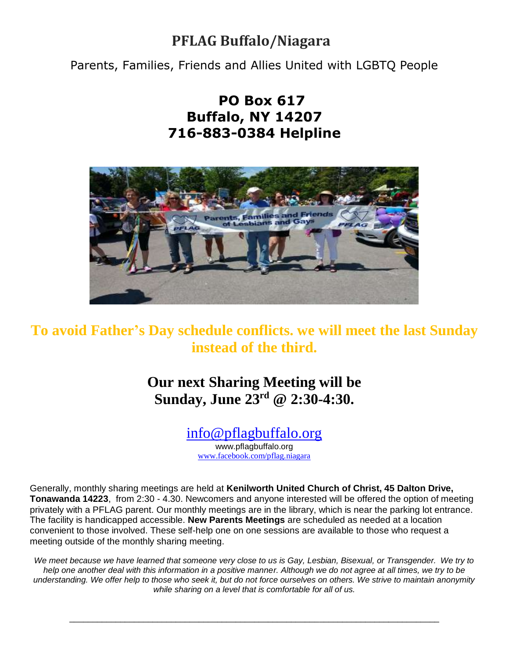# **PFLAG Buffalo/Niagara**

Parents, Families, Friends and Allies United with LGBTQ People

# **PO Box 617 Buffalo, NY 14207 716-883-0384 Helpline**



# **To avoid Father's Day schedule conflicts. we will meet the last Sunday instead of the third.**

**Our next Sharing Meeting will be Sunday, June 23rd @ 2:30-4:30.**

# [info@pflagbuffalo.org](mailto:info@pflagbuffalo.org)

www.pflagbuffalo.org [www.facebook.com/pflag.niagara](http://www.facebook.com/pflag.niagara)

Generally, monthly sharing meetings are held at **Kenilworth United Church of Christ, 45 Dalton Drive, Tonawanda 14223**, from 2:30 - 4.30. Newcomers and anyone interested will be offered the option of meeting privately with a PFLAG parent. Our monthly meetings are in the library, which is near the parking lot entrance. The facility is handicapped accessible. **New Parents Meetings** are scheduled as needed at a location convenient to those involved. These self-help one on one sessions are available to those who request a meeting outside of the monthly sharing meeting.

*We meet because we have learned that someone very close to us is Gay, Lesbian, Bisexual, or Transgender. We try to*  help one another deal with this information in a positive manner. Although we do not agree at all times, we try to be *understanding. We offer help to those who seek it, but do not force ourselves on others. We strive to maintain anonymity while sharing on a level that is comfortable for all of us.*

\_\_\_\_\_\_\_\_\_\_\_\_\_\_\_\_\_\_\_\_\_\_\_\_\_\_\_\_\_\_\_\_\_\_\_\_\_\_\_\_\_\_\_\_\_\_\_\_\_\_\_\_\_\_\_\_\_\_\_\_\_\_\_\_\_\_\_\_\_\_\_\_\_\_\_\_\_\_\_\_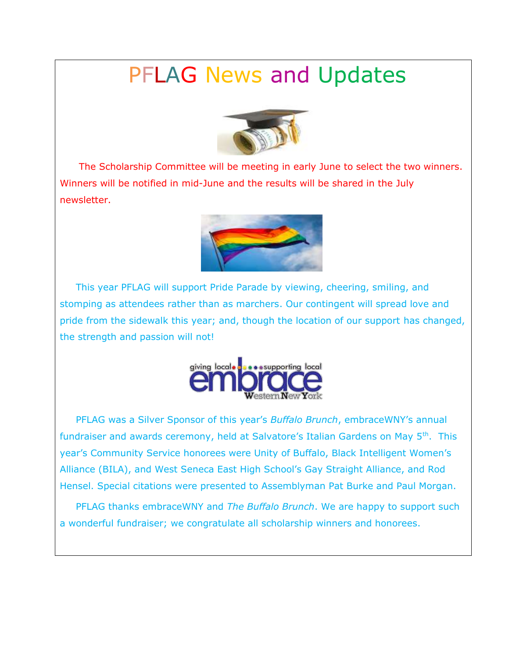# PFLAG News and Updates



 The Scholarship Committee will be meeting in early June to select the two winners. Winners will be notified in mid-June and the results will be shared in the July newsletter.



 This year PFLAG will support Pride Parade by viewing, cheering, smiling, and stomping as attendees rather than as marchers. Our contingent will spread love and pride from the sidewalk this year; and, though the location of our support has changed, the strength and passion will not!



 PFLAG was a Silver Sponsor of this year's *Buffalo Brunch*, embraceWNY's annual fundraiser and awards ceremony, held at Salvatore's Italian Gardens on May 5<sup>th</sup>. This year's Community Service honorees were Unity of Buffalo, Black Intelligent Women's Alliance (BILA), and West Seneca East High School's Gay Straight Alliance, and Rod Hensel. Special citations were presented to Assemblyman Pat Burke and Paul Morgan.

 PFLAG thanks embraceWNY and *The Buffalo Brunch*. We are happy to support such a wonderful fundraiser; we congratulate all scholarship winners and honorees.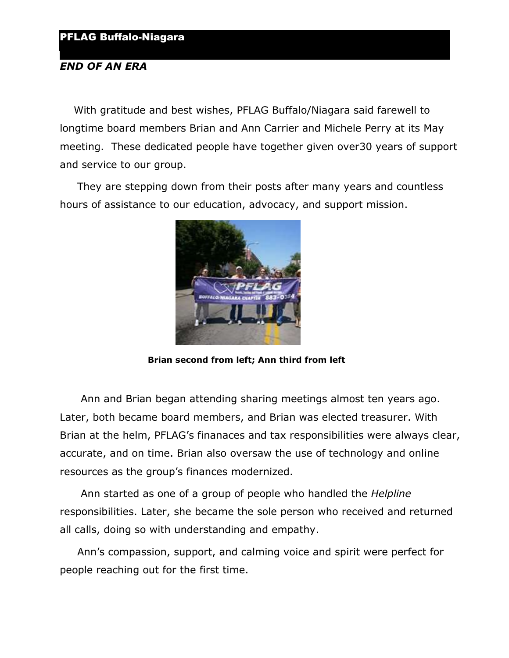#### *END OF AN ERA*

 With gratitude and best wishes, PFLAG Buffalo/Niagara said farewell to longtime board members Brian and Ann Carrier and Michele Perry at its May meeting. These dedicated people have together given over30 years of support and service to our group.

 They are stepping down from their posts after many years and countless hours of assistance to our education, advocacy, and support mission.



 **Brian second from left; Ann third from left**

 Ann and Brian began attending sharing meetings almost ten years ago. Later, both became board members, and Brian was elected treasurer. With Brian at the helm, PFLAG's finanaces and tax responsibilities were always clear, accurate, and on time. Brian also oversaw the use of technology and online resources as the group's finances modernized.

 Ann started as one of a group of people who handled the *Helpline* responsibilities. Later, she became the sole person who received and returned all calls, doing so with understanding and empathy.

 Ann's compassion, support, and calming voice and spirit were perfect for people reaching out for the first time.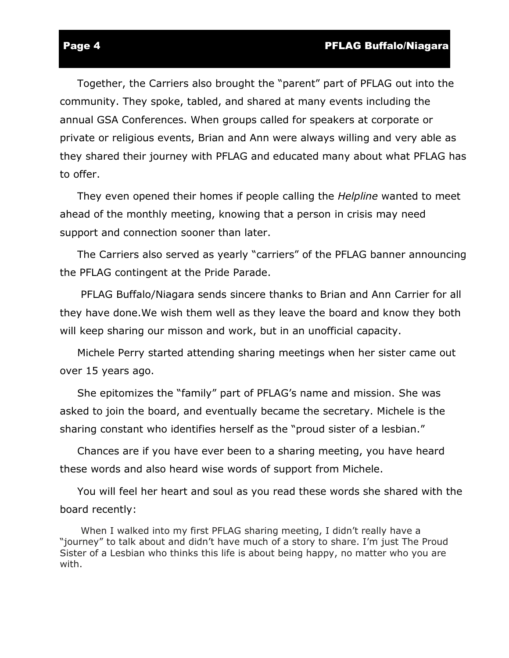#### Page 4 **Page 4** Page 4 **PFLAG Buffalo/Niagara**

 Together, the Carriers also brought the "parent" part of PFLAG out into the community. They spoke, tabled, and shared at many events including the annual GSA Conferences. When groups called for speakers at corporate or private or religious events, Brian and Ann were always willing and very able as they shared their journey with PFLAG and educated many about what PFLAG has to offer.

 They even opened their homes if people calling the *Helpline* wanted to meet ahead of the monthly meeting, knowing that a person in crisis may need support and connection sooner than later.

 The Carriers also served as yearly "carriers" of the PFLAG banner announcing the PFLAG contingent at the Pride Parade.

 PFLAG Buffalo/Niagara sends sincere thanks to Brian and Ann Carrier for all they have done.We wish them well as they leave the board and know they both will keep sharing our misson and work, but in an unofficial capacity.

 Michele Perry started attending sharing meetings when her sister came out over 15 years ago.

 She epitomizes the "family" part of PFLAG's name and mission. She was asked to join the board, and eventually became the secretary. Michele is the sharing constant who identifies herself as the "proud sister of a lesbian."

 Chances are if you have ever been to a sharing meeting, you have heard these words and also heard wise words of support from Michele.

 You will feel her heart and soul as you read these words she shared with the board recently:

 When I walked into my first PFLAG sharing meeting, I didn't really have a "journey" to talk about and didn't have much of a story to share. I'm just The Proud Sister of a Lesbian who thinks this life is about being happy, no matter who you are with.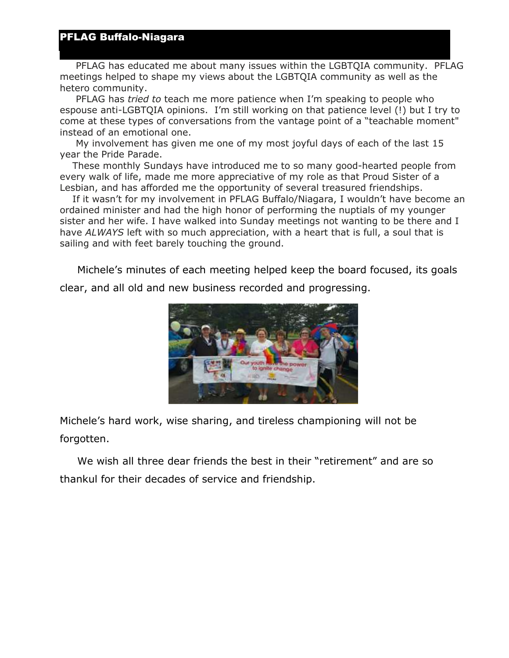#### PFLAG Buffalo-Niagara

 PFLAG has educated me about many issues within the LGBTQIA community. PFLAG meetings helped to shape my views about the LGBTQIA community as well as the hetero community.

 PFLAG has *tried to* teach me more patience when I'm speaking to people who espouse anti-LGBTQIA opinions. I'm still working on that patience level (!) but I try to come at these types of conversations from the vantage point of a "teachable moment" instead of an emotional one.

 My involvement has given me one of my most joyful days of each of the last 15 year the Pride Parade.

 These monthly Sundays have introduced me to so many good-hearted people from every walk of life, made me more appreciative of my role as that Proud Sister of a Lesbian, and has afforded me the opportunity of several treasured friendships.

 If it wasn't for my involvement in PFLAG Buffalo/Niagara, I wouldn't have become an ordained minister and had the high honor of performing the nuptials of my younger sister and her wife. I have walked into Sunday meetings not wanting to be there and I have *ALWAYS* left with so much appreciation, with a heart that is full, a soul that is sailing and with feet barely touching the ground.

 Michele's minutes of each meeting helped keep the board focused, its goals clear, and all old and new business recorded and progressing.



Michele's hard work, wise sharing, and tireless championing will not be forgotten.

 We wish all three dear friends the best in their "retirement" and are so thankul for their decades of service and friendship.